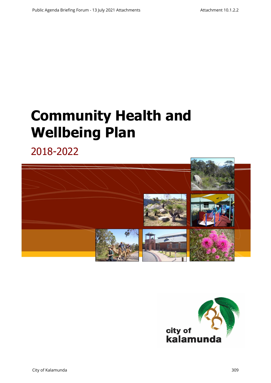# **Community Health and Wellbeing Plan**

2018-2022



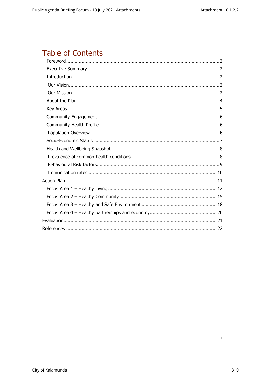# **Table of Contents**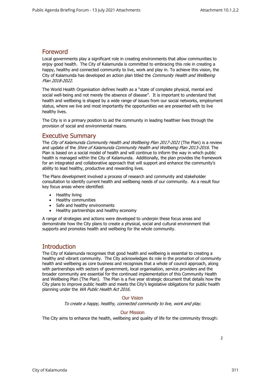## <span id="page-2-0"></span>Foreword

Local governments play a significant role in creating environments that allow communities to enjoy good health. The City of Kalamunda is committed to embracing this role in creating a happy, healthy and connected community to live, work and play in. To achieve this vision, the City of Kalamunda has developed an action plan titled the *Community Health and Wellbeing* Plan 2018-2022.

The World Health Organisation defines health as a "state of complete physical, mental and social well-being and not merely the absence of disease". It is important to understand that health and wellbeing is shaped by a wide range of issues from our social networks, employment status, where we live and most importantly the opportunities we are presented with to live healthy lives.

<span id="page-2-1"></span>The City is in a primary position to aid the community in leading healthier lives through the provision of social and environmental means.

#### Executive Summary

The City of Kalamunda Community Health and Wellbeing Plan 2017-2021 (The Plan) is a review and update of the Shire of Kalamunda Community Health and Wellbeing Plan 2013-2016. The Plan is based on a social model of health and will continue to inform the way in which public health is managed within the City of Kalamunda. Additionally, the plan provides the framework for an integrated and collaborative approach that will support and enhance the community's ability to lead healthy, productive and rewarding lives.

The Plans development involved a process of research and community and stakeholder consultation to identify current health and wellbeing needs of our community. As a result four key focus areas where identified:

- Healthy living
- Healthy communities
- Safe and healthy environments
- Healthy partnerships and healthy economy

A range of strategies and actions were developed to underpin these focus areas and demonstrate how the City plans to create a physical, social and cultural environment that supports and promotes health and wellbeing for the whole community.

### **Introduction**

<span id="page-2-2"></span>The City of Kalamunda recognises that good health and wellbeing is essential to creating a healthy and vibrant community. The City acknowledges its role in the promotion of community health and wellbeing as core business and recognises that a whole of council approach, along with partnerships with sectors of government, local organisation, service providers and the broader community are essential for the continued implementation of this Community Health and Wellbeing Plan (The Plan). The Plan is a five year strategic document that details how the City plans to improve public health and meets the City's legislative obligations for public health planning under the WA Public Health Act 2016.

#### Our Vision

To create a happy, healthy, connected community to live, work and play.

#### Our Mission

<span id="page-2-4"></span><span id="page-2-3"></span>The City aims to enhance the health, wellbeing and quality of life for the community through: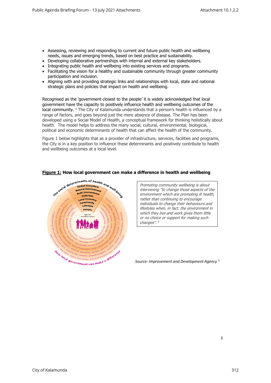- Assessing, reviewing and responding to current and future public health and wellbeing needs, issues and emerging trends, based on best practice and sustainability.
- Developing collaborative partnerships with internal and external key stakeholders.
- Integrating public health and wellbeing into existing services and programs.
- Facilitating the vision for a healthy and sustainable community through greater community participation and inclusion.
- Aligning with and providing strategic links and relationships with local, state and national strategic plans and policies that impact on health and wellbeing.

Recognised as the 'government closest to the people' it is widely acknowledged that local government have the capacity to positively influence health and wellbeing outcomes of the local community. <sup>1</sup> The City of Kalamunda understands that a person's health is influenced by a range of factors, and goes beyond just the mere absence of disease. The Plan has been developed using a Social Model of Health, a conceptual framework for thinking holistically about health. The model helps to address the many social, cultural, environmental, biological, political and economic determinants of health that can affect the health of the community.

Figure 1 below highlights that as a provider of infrastructure, services, facilities and programs, the City is in a key position to influence these determinants and positively contribute to health and wellbeing outcomes at a local level.



#### **Figure 1: How local government can make a difference in health and wellbeing**

Promoting community wellbeing is about intervening "to change those aspects of th<sup>e</sup> environment which are promoting ill health, rather than continuing to encourage individuals to change their behaviours and lifestyles when, in fact, the environment in which they live and work gives them little or no choice or support for making such changes".<sup>2</sup>

*Source: Improvement and Development Agency* <sup>3</sup>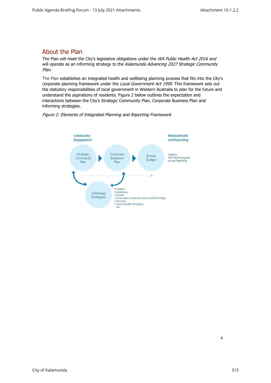## <span id="page-4-0"></span>About the Plan

The Plan will meet the City's legislative obligations under the WA Public Health Act 2016 and will operate as an informing strategy to the Kalamunda Advancing 2027 Strategic Community Plan.

The Plan establishes an integrated health and wellbeing planning process that fits into the City's corporate planning framework under the Local Government Act 1995. This framework sets out the statutory responsibilities of local government in Western Australia to plan for the future and understand the aspirations of residents. Figure 2 below outlines the expectation and interactions between the City's Strategic Community Plan, Corporate Business Plan and informing strategies.



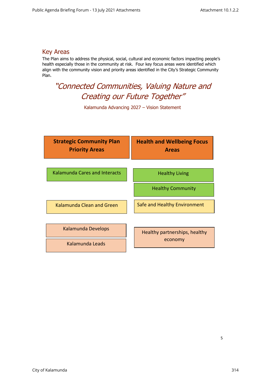## <span id="page-5-0"></span>Key Areas

The Plan aims to address the physical, social, cultural and economic factors impacting people's health especially those in the community at risk. Four key focus areas were identified which align with the community vision and priority areas identified in the City's Strategic Community Plan.

# "Connected Communities, Valuing Nature and Creating our Future Together"

Kalamunda Advancing 2027 – Vision Statement

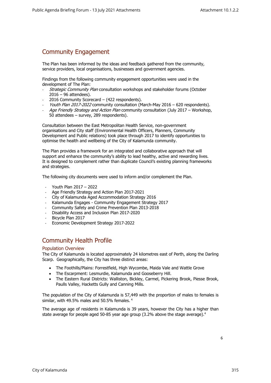## <span id="page-6-0"></span>Community Engagement

The Plan has been informed by the ideas and feedback gathered from the community, service providers, local organisations, businesses and government agencies.

Findings from the following community engagement opportunities were used in the development of The Plan:

- Strategic Community Plan consultation workshops and stakeholder forums (October 2016 – 96 attendees).
- 2016 Community Scorecard (422 respondents).
- Youth Plan 2017-2022 community consultation (March-May 2016 620 respondents).
- Age Friendly Strategy and Action Plan community consultation (July 2017 Workshop, 50 attendees – survey, 289 respondents).

Consultation between the East Metropolitan Health Service, non-government organisations and City staff (Environmental Health Officers, Planners, Community Development and Public relations) took place through 2017 to identify opportunities to optimise the health and wellbeing of the City of Kalamunda community.

The Plan provides a framework for an integrated and collaborative approach that will support and enhance the community's ability to lead healthy, active and rewarding lives. It is designed to complement rather than duplicate Council's existing planning frameworks and strategies.

The following city documents were used to inform and/or complement the Plan.

- Youth Plan 2017 2022
- Age Friendly Strategy and Action Plan 2017-2021
- City of Kalamunda Aged Accommodation Strategy 2016
- Kalamunda Engages Community Engagement Strategy 2017
- Community Safety and Crime Prevention Plan 2013-2018
- Disability Access and Inclusion Plan 2017-2020
- Bicycle Plan 2017
- Economic Development Strategy 2017-2022

## Community Health Profile

#### <span id="page-6-1"></span>Population Overview

<span id="page-6-2"></span>The City of Kalamunda is located approximately 24 kilometres east of Perth, along the Darling Scarp. Geographically, the City has three distinct areas:

- The Foothills/Plains: Forrestfield, High Wycombe, Maida Vale and Wattle Grove
- The Escarpment: Lesmurdie, Kalamunda and Gooseberry Hill.
- The Eastern Rural Districts: Walliston, Bickley, Carmel, Pickering Brook, Piesse Brook, Paulls Valley, Hacketts Gully and Canning Mills.

The population of the City of Kalamunda is 57,449 with the proportion of males to females is similar, with 49.5% males and 50.5% females. <sup>4</sup>

The average age of residents in Kalamunda is 39 years, however the City has a higher than state average for people aged 50-85 year age group (3.2% above the stage average).<sup>4</sup>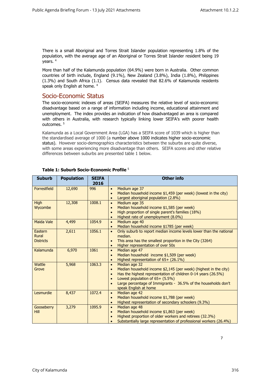There is a small Aboriginal and Torres Strait Islander population representing 1.8% of the population, with the average age of an Aboriginal or Torres Strait Islander resident being 19 years. <sup>4</sup>

<span id="page-7-0"></span>More than half of the Kalamunda population (64.9%) were born in Australia. Other common countries of birth include, England (9.1%), New Zealand (3.8%), India (1.8%), Philippines (1.3%) and South Africa (1.1). Census data revealed that 82.6% of Kalamunda residents speak only English at home. <sup>4</sup>

### Socio-Economic Status

The socio-economic indexes of areas (SEIFA) measures the relative level of socio-economic disadvantage based on a range of information including income, educational attainment and unemployment. The index provides an indication of how disadvantaged an area is compared with others in Australia, with research typically linking lower SEIFA's with poorer health outcomes. <sup>5</sup>

Kalamunda as a Local Government Area (LGA) has a SEIFA score of 1039 which is higher than the standardised average of 1000 (a number above 1000 indicates higher socio-economic status). However socio-demographics characteristics between the suburbs are quite diverse, with some areas experiencing more disadvantage than others. SEIFA scores and other relative differences between suburbs are presented table 1 below.

| <b>Suburb</b>                               | <b>Population</b> | <b>SEIFA</b><br>2016 | <b>Other info</b>                                                                                                                                                                                                                                                                                                          |
|---------------------------------------------|-------------------|----------------------|----------------------------------------------------------------------------------------------------------------------------------------------------------------------------------------------------------------------------------------------------------------------------------------------------------------------------|
| Forrestfield                                | 12,690            | 996                  | Medium age 37<br>$\bullet$<br>Median household income \$1,459 (per week) (lowest in the city)<br>$\bullet$<br>Largest aboriginal population (2.8%)<br>$\bullet$                                                                                                                                                            |
| <b>High</b><br>Wycombe                      | 12,308            | 1008.1               | Medium age 35<br>$\bullet$<br>Median household income \$1,585 (per week)<br>$\bullet$<br>High proportion of single parent's families (18%)<br>Highest rate of unemployment (8.0%)<br>$\bullet$                                                                                                                             |
| <b>Maida Vale</b>                           | 4,499             | 1054.9               | Medium age 40<br>$\bullet$<br>Median household income \$1785 (per week)<br>$\bullet$                                                                                                                                                                                                                                       |
| Eastern<br><b>Rural</b><br><b>Districts</b> | 2,611             | 1056.1               | Only suburb to report median income levels lower than the national<br>$\bullet$<br>median.<br>This area has the smallest proportion in the City (3264)<br>$\bullet$<br>Higher representation of over 50s<br>$\bullet$                                                                                                      |
| Kalamunda                                   | 6,970             | 1061                 | Median age 47<br>$\bullet$<br>Median household income \$1,509 (per week)<br>$\bullet$<br>Highest representation of 65+ (26.1%)                                                                                                                                                                                             |
| Wattle<br>Grove                             | 5,968             | 1063.3               | Median age 32<br>$\bullet$<br>Median household income \$2,145 (per week) (highest in the city)<br>$\bullet$<br>Has the highest representation of children 0-14 years (26.5%)<br>$\bullet$<br>Lowest population of $65+ (5.5\%)$<br>Large percentage of Immigrants - 36.5% of the households don't<br>speak English at home |
| Lesmurdie                                   | 8,437             | 1072.4               | Median age 42<br>$\bullet$<br>Median household income \$1,788 (per week)<br>$\bullet$<br>Highest representation of secondary schoolers (9.3%)<br>$\bullet$                                                                                                                                                                 |
| Gooseberry<br><b>Hill</b>                   | 3,279             | 1095.9               | Median age 48<br>$\bullet$<br>Median household income \$1,863 (per week)<br>$\bullet$<br>Highest proportion of older workers and retirees (32.3%)<br>Substantially large representation of professional workers (26.4%)                                                                                                    |

#### **Table 1: Suburb Socio-Economic Profile** <sup>5</sup>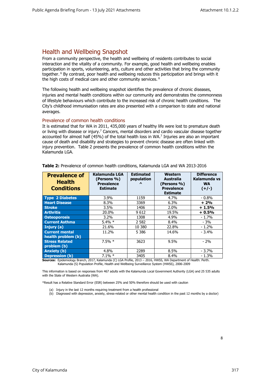## <span id="page-8-0"></span>Health and Wellbeing Snapshot

From a community perspective, the health and wellbeing of residents contributes to social interaction and the vitality of a community. For example, good health and wellbeing enables participation in sports, volunteering, arts, culture and other activities that bring the community together. <sup>6</sup> By contrast, poor health and wellbeing reduces this participation and brings with it the high costs of medical care and other community services.  $6$ 

The following health and wellbeing snapshot identifies the prevalence of chronic diseases, injuries and mental health conditions within our community and demonstrates the commonness of lifestyle behaviours which contribute to the increased risk of chronic health conditions. The City's childhood immunisation rates are also presented with a comparison to state and national averages.

#### <span id="page-8-1"></span>Prevalence of common health conditions

It is estimated that for WA in 2011, 435,000 years of healthy life were lost to premature death or living with disease or injury.<sup>7</sup> Cancers, mental disorders and cardio vascular disease together accounted for almost half (45%) of the total health loss in WA.<sup>7</sup> Injuries are also an important cause of death and disability and strategies to prevent chronic disease are often linked with injury prevention. Table 2 presents the prevalence of common health conditions within the Kalamunda LGA.

| <b>Prevalence of</b><br><b>Health</b><br><b>Conditions</b> | Kalamunda LGA<br>(Persons %)<br><b>Prevalence</b><br><b>Estimate</b> | <b>Estimated</b><br>population<br>$\lambda$ | Western<br>Australia<br>(Persons %)<br><b>Prevalence</b><br><b>Estimate</b> | <b>Difference</b><br>Kalamunda vs<br><b>WA</b><br>$(+/-)$ |
|------------------------------------------------------------|----------------------------------------------------------------------|---------------------------------------------|-----------------------------------------------------------------------------|-----------------------------------------------------------|
| <b>Type 2 Diabetes</b>                                     | $3.9\%$                                                              | 1159                                        | 4.7%                                                                        | - 0.8%                                                    |
| <b>Heart Disease</b>                                       | 8.3%                                                                 | 3369                                        | 6.3%                                                                        | $+2%$                                                     |
| <b>Stroke</b>                                              | 3.5%                                                                 | 1406                                        | 2.0%                                                                        | $+1.5%$                                                   |
| <b>Arthritis</b>                                           | 20.0%                                                                | 9612                                        | 19.5%                                                                       | $+0.5%$                                                   |
| <b>Osteoporosis</b>                                        | $3.2\%$                                                              | 1308                                        | 4.9%                                                                        | $-1.7%$                                                   |
| <b>Current Asthma</b>                                      | $5.4\% *$                                                            | 2 5 8 2                                     | 8.4%                                                                        | $-3%$                                                     |
| Injury (a)                                                 | 21.6%                                                                | 10 380                                      | 22.8%                                                                       | $-1.2\%$                                                  |
| <b>Current mental</b><br>health problem (b)                | 11.2%                                                                | 5 3 8 6                                     | 14.6%                                                                       | $-3.4%$                                                   |
| <b>Stress Related</b><br>problem (b)                       | $7.5\% *$                                                            | 3623                                        | 9.5%                                                                        | $-2%$                                                     |
| Anxiety (b)                                                | 4.8%                                                                 | 2289                                        | 8.5%                                                                        | $-3.7%$                                                   |
| <b>Depression (b)</b>                                      | $7.1\%$ *                                                            | 3405                                        | 8.4%                                                                        | $-1.3%$                                                   |

**Table 2:** Prevalence of common health conditions, Kalamunda LGA and WA 2013-2016

**Sources:** Epidemiology Branch, 2017, Kalamunda (C) LGA Profile, 2013 – 2016, HWSS, WA Department of Health: Perth. Kalamunda (S) Population Profile, Health and Wellbeing Surveillance System (HWSS), 2006-2009

This information is based on responses from 467 adults with the Kalamunda Local Government Authority (LGA) and 25 535 adults with the State of Western Australia (WA).

\*Result has a Relative Standard Error (ESR) between 25% and 50% therefore should be used with caution

- (a) Injury in the last 12 months requiring treatment from a health professional
- (b) Diagnosed with depression, anxiety, stress-related or other mental health condition in the past 12 months by a doctor)

8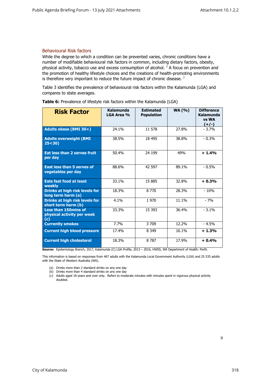#### <span id="page-9-0"></span>Behavioural Risk factors

While the degree to which a condition can be prevented varies, chronic conditions have a number of modifiable behavioural risk factors in common, including dietary factors, obesity, physical activity, tobacco use and excess consumption of alcohol.  $7$  A focus on prevention and the promotion of healthy lifestyle choices and the creations of health-promoting environments is therefore very important to reduce the future impact of chronic disease.  $<sup>7</sup>$ </sup>

Table 3 identifies the prevalence of behavioural risk factors within the Kalamunda (LGA) and compares to state averages.

| <b>Risk Factor</b>                                               | Kalamunda<br>LGA Area % | <b>Estimated</b><br><b>Population</b> | <b>WA (%)</b> | <b>Difference</b><br>Kalamunda<br>vs WA<br>$(+/-)$ |
|------------------------------------------------------------------|-------------------------|---------------------------------------|---------------|----------------------------------------------------|
| Adults obese (BMI 30+)                                           | 24.1%                   | 11 578                                | 27.8%         | $-3.7%$                                            |
| <b>Adults overweight (BMI</b><br>25 < 30                         | 38.5%                   | 18 495                                | 38.8%         | $-0.3%$                                            |
| Eat less than 2 serves fruit<br>per day                          | 50.4%                   | 24 199                                | 49%           | $+1.4%$                                            |
| <b>East less than 5 serves of</b><br>vegetables per day          | 88.6%                   | 42 597                                | 89.1%         | $-0.5%$                                            |
| <b>Eats fast food at least</b><br>weekly                         | 33.1%                   | 15 885                                | 32.8%         | $+0.3%$                                            |
| <b>Drinks at high risk levels for</b><br>long term harm (a)      | 18.3%                   | 8 7 7 0                               | 28.3%         | $-10%$                                             |
| Drinks at high risk levels for<br>short term harm (b)            | 4.1%                    | 1970                                  | 11.1%         | $-7%$                                              |
| <b>Less than 150mins of</b><br>physical activity per week<br>(c) | 33.3%                   | 15 3 93                               | 36.4%         | $-3.1%$                                            |
| <b>Currently smokes</b>                                          | 7.7%                    | 3 709                                 | 12.2%         | $-4.5%$                                            |
| <b>Current high blood pressure</b>                               | 17.4%                   | 8 3 4 9                               | 16.1%         | $+1.3%$                                            |
| <b>Current high cholesterol</b>                                  | 18.3%                   | 8 7 8 7                               | 17.9%         | $+0.4%$                                            |

**Table 6:** Prevalence of lifestyle risk factors within the Kalamunda (LGA)

**Source:** Epidemiology Branch, 2017, Kalamunda (C) LGA Profile, 2013 – 2016, HWSS, WA Department of Health: Perth.

This information is based on responses from 467 adults with the Kalamunda Local Government Authority (LGA) and 25 535 adults with the State of Western Australia (WA).

- (a) Drinks more than 2 standard drinks on any one day
- (b) Drinks more than 4 standard drinks on any one day
- (c) Adults aged 18 years and over only. Refers to moderate minutes with minutes spent in vigorous physical activity doubled.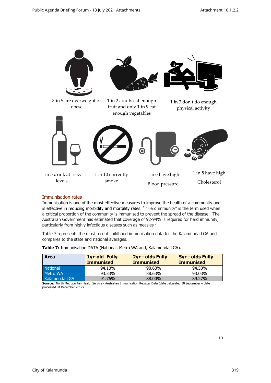

#### <span id="page-10-0"></span>Immunisation rates

Immunisation is one of the most effective measures to improve the health of a community and is effective in reducing morbidity and mortality rates.  $7$  "Herd immunity" is the term used when a critical proportion of the community is immunised to prevent the spread of the disease. The Australian Government has estimated that coverage of 92-94% is required for herd immunity, particularly from highly infectious diseases such as measles <sup>7</sup>.

Table 7 represents the most recent childhood immunisation data for the Kalamunda LGA and compares to the state and national averages.

| <b>Area</b>     | 2yr - olds Fully<br><b>1yr-old Fully</b> |                  | <b>5yr - olds Fully</b> |
|-----------------|------------------------------------------|------------------|-------------------------|
|                 | <b>Immunised</b>                         | <b>Immunised</b> | <b>Immunised</b>        |
| <b>National</b> | 94.10%                                   | 90.60%           | 94.50%                  |
| Metro WA        | 93.33%                                   | 88.63%           | 93.03%                  |
| Kalamunda LGA   | 91.76%                                   | 88,00%           | 89.27%                  |

**Table 7:** Immunisation DATA (National, Metro WA and, Kalamunda LGA).

**Source:** North Metropolitan Health Service - Australian Immunisation Register Data (date calculated 30 September – date processed 31 December 2017).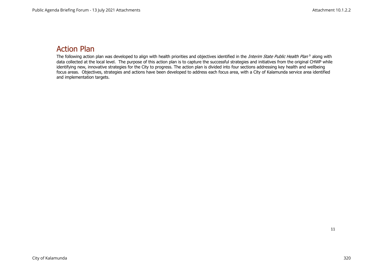# Action Plan

<span id="page-11-0"></span>The following action plan was developed to align with health priorities and objectives identified in the *Interim State Public Health Plan* <sup>9</sup> along with data collected at the local level. The purpose of this action plan is to capture the successful strategies and initiatives from the original CHWP while identifying new, innovative strategies for the City to progress. The action plan is divided into four sections addressing key health and wellbeing focus areas. Objectives, strategies and actions have been developed to address each focus area, with a City of Kalamunda service area identified and implementation targets.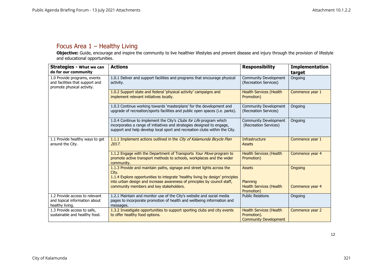## Focus Area 1 – Healthy Living

**Objective:** Guide, encourage and inspire the community to live healthier lifestyles and prevent disease and injury through the provision of lifestyle and educational opportunities.

<span id="page-12-0"></span>

| <b>Strategies - What we can</b><br>do for our community                                       | <b>Actions</b>                                                                                                                                                                                                              | <b>Responsibility</b>                                                         | <b>Implementation</b><br>target |
|-----------------------------------------------------------------------------------------------|-----------------------------------------------------------------------------------------------------------------------------------------------------------------------------------------------------------------------------|-------------------------------------------------------------------------------|---------------------------------|
| 1.0 Provide programs, events<br>and facilities that support and<br>promote physical activity. | 1.0.1 Deliver and support facilities and programs that encourage physical<br>activity.                                                                                                                                      | <b>Community Development</b><br>(Recreation Services)                         | Ongoing                         |
|                                                                                               | 1.0.2 Support state and federal 'physical activity' campaigns and<br>implement relevant initiatives locally.                                                                                                                | <b>Health Services (Health</b><br>Promotion)                                  | Commence year 1                 |
|                                                                                               | 1.0.3 Continue working towards 'masterplans' for the development and<br>upgrade of recreation/sports facilities and public open spaces (i.e. parks).                                                                        | Community Development<br>(Recreation Services)                                | Ongoing                         |
|                                                                                               | 1.0.4 Continue to implement the City's Clubs for Life program which<br>incorporates a range of initiatives and strategies designed to engage,<br>support and help develop local sport and recreation clubs within the City. | Community Development<br>(Recreation Services)                                | Ongoing                         |
| 1.1 Provide healthy ways to get<br>around the City.                                           | 1.1.1 Implement actions outlined in the City of Kalamunda Bicycle Plan<br>2017.                                                                                                                                             | Infrastructure<br><b>Assets</b>                                               | Commence year 1                 |
|                                                                                               | 1.1.2 Engage with the Department of Transports Your Move program to<br>promote active transport methods to schools, workplaces and the wider<br>community.                                                                  | <b>Health Services (Health</b><br>Promotion)                                  | Commence year 4                 |
|                                                                                               | 1.1.3 Provide and maintain paths, signage and street lights across the<br>City.<br>1.1.4 Explore opportunities to integrate 'healthy living by design' principles                                                           | <b>Assets</b>                                                                 | <b>Ongoing</b>                  |
|                                                                                               | into urban design and increase awareness of principles by council staff,<br>community members and key stakeholders.                                                                                                         | Planning<br><b>Health Services (Health</b><br>Promotion)                      | Commence year 4                 |
| 1.2 Provide access to relevant<br>and topical information about<br>healthy living.            | 1.2.1 Maintain and monitor use of the City's website and social media<br>pages to incorporate promotion of health and wellbeing information and<br>messages.                                                                | <b>Public Relations</b>                                                       | Ongoing                         |
| 1.3 Provide access to safe,<br>sustainable and healthy food.                                  | 1.3.2 Investigate opportunities to support sporting clubs and city events<br>to offer healthy food options.                                                                                                                 | <b>Health Services (Health</b><br>Promotion).<br><b>Community Development</b> | Commence year 2                 |

12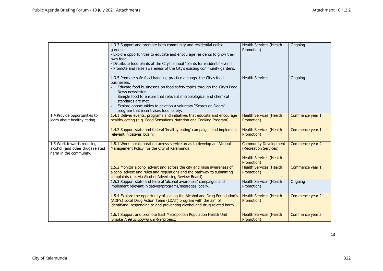|                                                                                         | 1.3.3 Support and promote both community and residential edible<br>gardens.<br>- Explore opportunities to educate and encourage residents to grow their<br>own food.<br>- Distribute food plants at the City's annual "plants for residents' events.<br>- Promote and raise awareness of the City's existing community gardens.                                                     | Health Services (Health<br>Promotion)                                                                 | Ongoing         |
|-----------------------------------------------------------------------------------------|-------------------------------------------------------------------------------------------------------------------------------------------------------------------------------------------------------------------------------------------------------------------------------------------------------------------------------------------------------------------------------------|-------------------------------------------------------------------------------------------------------|-----------------|
|                                                                                         | 1.3.5 Promote safe food handling practice amongst the City's food<br>businesses.<br>Educate food businesses on food safety topics through the City's Food<br>News newsletter.<br>Sample food to ensure that relevant microbiological and chemical<br>standards are met.<br>Explore opportunities to develop a voluntary "Scores on Doors"<br>program that incentivises food safety. | <b>Health Services</b>                                                                                | Ongoing         |
| 1.4 Provide opportunities to<br>learn about healthy eating.                             | 1.4.1 Deliver events, programs and initiatives that educate and encourage<br>healthy eating (e.g. Food Sensations Nutrition and Cooking Program)                                                                                                                                                                                                                                    | <b>Health Services (Health</b><br>Promotion)                                                          | Commence year 1 |
|                                                                                         | 1.4.2 Support state and federal 'healthy eating' campaigns and implement<br>relevant initiatives locally.                                                                                                                                                                                                                                                                           | <b>Health Services (Health</b><br>Promotion)                                                          | Commence year 1 |
| 1.5 Work towards reducing<br>alcohol (and other drug) related<br>harm in the community. | 1.5.1 Work in collaboration across service areas to develop an 'Alcohol<br>Management Policy' for the City of Kalamunda.                                                                                                                                                                                                                                                            | <b>Community Development</b><br>(Recreation Services)<br><b>Health Services (Health</b><br>Promotion) | Commence year 2 |
|                                                                                         | 1.5.2 Monitor alcohol advertising across the city and raise awareness of<br>alcohol advertising rules and regulations and the pathway to submitting<br>complaints (i.e. via Alcohol Advertising Review Board).                                                                                                                                                                      | <b>Health Services (Health</b><br>Promotion)                                                          | Commence year 1 |
|                                                                                         | 1.5.3 Support state and federal 'alcohol awareness' campaigns and<br>implement relevant initiatives/programs/messages locally.                                                                                                                                                                                                                                                      | Health Services (Health<br>Promotion)                                                                 | Ongoing         |
|                                                                                         | 1.5.4 Explore the opportunity of joining the Alcohol and Drug Foundation's<br>(ADF's) Local Drug Action Team (LDAT) program with the aim of<br>identifying, responding to and preventing alcohol and drug related harm.                                                                                                                                                             | <b>Health Services (Health</b><br>Promotion)                                                          | Commence year 2 |
|                                                                                         | 1.6.1 Support and promote East Metropolitan Population Health Unit<br>'Smoke <i>Free Shopping Centre'</i> project,                                                                                                                                                                                                                                                                  | <b>Health Services (Health</b><br>Promotion)                                                          | Commence year 3 |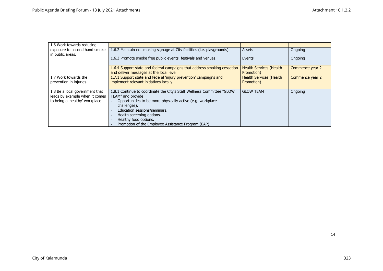| 1.6 Work towards reducing                         |                                                                                                                      |                                              |                 |
|---------------------------------------------------|----------------------------------------------------------------------------------------------------------------------|----------------------------------------------|-----------------|
| exposure to second hand smoke<br>in public areas. | 1.6.2 Maintain no smoking signage at City facilities (i.e. playgrounds)                                              | <b>Assets</b>                                | Ongoing         |
|                                                   | 1.6.3 Promote smoke free public events, festivals and venues.                                                        | Events                                       | Ongoing         |
|                                                   | 1.6.4 Support state and federal campaigns that address smoking cessation<br>and deliver messages at the local level. | <b>Health Services (Health</b><br>Promotion) | Commence year 2 |
| 1.7 Work towards the                              | 1.7.1 Support state and federal 'injury prevention' campaigns and                                                    | <b>Health Services (Health</b>               | Commence year 2 |
| prevention in injuries.                           | implement relevant initiatives locally.                                                                              | Promotion)                                   |                 |
| 1.8 Be a local government that                    | 1.8.1 Continue to coordinate the City's Staff Wellness Committee "GLOW"                                              | <b>GLOW TEAM</b>                             | Ongoing         |
| leads by example when it comes                    | TEAM" and provide:                                                                                                   |                                              |                 |
| to being a 'healthy' workplace                    | Opportunities to be more physically active (e.g. workplace<br>challenges).                                           |                                              |                 |
|                                                   | Education sessions/seminars.                                                                                         |                                              |                 |
|                                                   | Health screening options.                                                                                            |                                              |                 |
|                                                   | Healthy food options.                                                                                                |                                              |                 |
|                                                   | Promotion of the Employee Assistance Program (EAP).                                                                  |                                              |                 |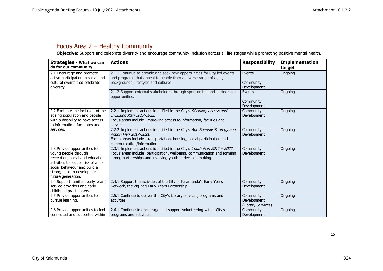# Focus Area 2 – Healthy Community

**Objective:** Support and celebrate diversity and encourage community inclusion across all life stages while promoting positive mental health.

<span id="page-15-0"></span>

| <b>Strategies - What we can</b><br>do for our community                                                                                                                                                             | <b>Actions</b>                                                                                                                                                                                                      | <b>Responsibility</b>                          | <b>Implementation</b><br>target |
|---------------------------------------------------------------------------------------------------------------------------------------------------------------------------------------------------------------------|---------------------------------------------------------------------------------------------------------------------------------------------------------------------------------------------------------------------|------------------------------------------------|---------------------------------|
| 2.1 Encourage and promote<br>active participation in social and<br>cultural events that celebrate<br>diversity.                                                                                                     | 2.1.1 Continue to provide and seek new opportunities for City led events<br>and programs that appeal to people from a diverse range of ages,<br>backgrounds, lifestyles and cultures.                               | Events<br>Community<br>Development             | Ongoing                         |
|                                                                                                                                                                                                                     | 2.1.2 Support external stakeholders through sponsorship and partnership<br>opportunities.                                                                                                                           | Events<br>Community<br><b>Development</b>      | Ongoing                         |
| 2.2 Facilitate the inclusion of the<br>ageing population and people<br>with a disability to have access<br>to information, facilitates and                                                                          | 2.2.1 Implement actions identified in the City's Disability Access and<br>Inclusion Plan 2017-2022.<br>Focus areas include: improving access to information, facilities and<br>services.                            | Community<br>Development                       | Ongoing                         |
| services.                                                                                                                                                                                                           | 2.2.2 Implement actions identified in the City's Age Friendly Strategy and<br>Action Plan 2017-2021.<br>Focus areas include: transportation, housing, social participation and<br>communication/information.        | Community<br>Development                       | Ongoing                         |
| 2.3 Provide opportunities for<br>young people through<br>recreation, social and education<br>activities to reduce risk of anti-<br>social behaviour and build a<br>strong base to develop our<br>future generation. | 2.3.1 Implement actions identified in the City's Youth Plan 2017 - 2022.<br>Focus areas include: participation, wellbeing, communication and forming<br>strong partnerships and involving youth in decision making. | Community<br>Development                       | Ongoing                         |
| 2.4 Support families, early years'<br>service providers and early<br>childhood practitioners.                                                                                                                       | 2.4.1 Support the activities of the City of Kalamunda's Early Years<br>Network, the Zig Zag Early Years Partnership.                                                                                                | Community<br>Development                       | Ongoing                         |
| 2.5 Provide opportunities to<br>pursue learning.                                                                                                                                                                    | 2.5.1 Continue to deliver the City's Library services, programs and<br>activities.                                                                                                                                  | Community<br>Development<br>(Library Services) | Ongoing                         |
| 2.6 Provide opportunities to feel<br>connected and supported within                                                                                                                                                 | 2.6.1 Continue to encourage and support volunteering within City's<br>programs and activities.                                                                                                                      | Community<br>Development                       | Ongoing                         |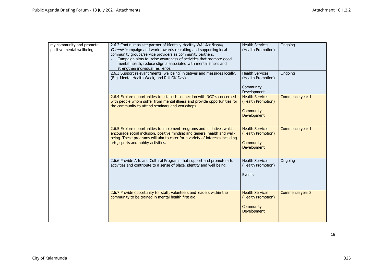| my community and promote<br>positive mental wellbeing. | 2.6.2 Continue as site partner of Mentally Healthy WA 'Act-Belong-<br>Commit' campaign and work towards recruiting and supporting local<br>community groups/service providers as community partners.<br>Campaign aims to: raise awareness of activities that promote good<br>mental health, reduce stigma associated with mental illness and<br>strengthen individual resilience.<br>2.6.3 Support relevant 'mental wellbeing' initiatives and messages locally. | <b>Health Services</b><br>(Health Promotion)<br><b>Health Services</b>          | Ongoing<br>Ongoing |
|--------------------------------------------------------|------------------------------------------------------------------------------------------------------------------------------------------------------------------------------------------------------------------------------------------------------------------------------------------------------------------------------------------------------------------------------------------------------------------------------------------------------------------|---------------------------------------------------------------------------------|--------------------|
|                                                        | (E.g. Mental Health Week, and R U OK Day).                                                                                                                                                                                                                                                                                                                                                                                                                       | (Health Promotion)<br>Community<br>Development                                  |                    |
|                                                        | 2.6.4 Explore opportunities to establish connection with NGO's concerned<br>with people whom suffer from mental illness and provide opportunities for<br>the community to attend seminars and workshops.                                                                                                                                                                                                                                                         | <b>Health Services</b><br>(Health Promotion)<br>Community<br><b>Development</b> | Commence year 1    |
|                                                        | 2.6.5 Explore opportunities to implement programs and initiatives which<br>encourage social inclusion, positive mindset and general health and well-<br>being. These programs will aim to cater for a variety of interests including<br>arts, sports and hobby activities.                                                                                                                                                                                       | <b>Health Services</b><br>(Health Promotion)<br>Community<br><b>Development</b> | Commence year 1    |
|                                                        | 2.6.6 Provide Arts and Cultural Programs that support and promote arts<br>activities and contribute to a sense of place, identity and well being                                                                                                                                                                                                                                                                                                                 | <b>Health Services</b><br>(Health Promotion)<br>Events                          | Ongoing            |
|                                                        | 2.6.7 Provide opportunity for staff, volunteers and leaders within the<br>community to be trained in mental health first aid.                                                                                                                                                                                                                                                                                                                                    | <b>Health Services</b><br>(Health Promotion)<br>Community<br><b>Development</b> | Commence year 2    |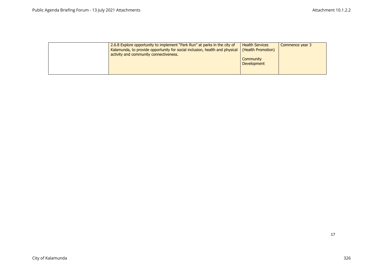| 2.6.8 Explore opportunity to implement "Park Run" at parks in the city of<br>Kalamunda, to provide opportunity for social inclusion, health and physical<br>activity and community connectiveness. | <b>Health Services</b><br>(Health Promotion) | Commence year 3 |
|----------------------------------------------------------------------------------------------------------------------------------------------------------------------------------------------------|----------------------------------------------|-----------------|
|                                                                                                                                                                                                    | Community<br><b>Development</b>              |                 |
|                                                                                                                                                                                                    |                                              |                 |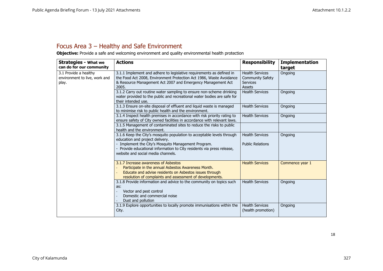# Focus Area 3 – Healthy and Safe Environment

**Objective:** Provide a safe and welcoming environment and quality environmental health protection

<span id="page-18-0"></span>

| <b>Strategies - What we</b>                                     | <b>Actions</b>                                                                                                                                                                                                      | <b>Responsibility</b>                                                   | <b>Implementation</b> |
|-----------------------------------------------------------------|---------------------------------------------------------------------------------------------------------------------------------------------------------------------------------------------------------------------|-------------------------------------------------------------------------|-----------------------|
| can do for our community                                        |                                                                                                                                                                                                                     |                                                                         | target                |
| 3.1 Provide a healthy<br>environment to live, work and<br>play. | 3.1.1 Implement and adhere to legislative requirements as defined in<br>the Food Act 2008, Environment Protection Act 1986, Waste Avoidance<br>& Resource Management Act 2007 and Emergency Management Act<br>2005. | <b>Health Services</b><br><b>Community Safety</b><br>Services<br>Assets | Ongoing               |
|                                                                 | 3.1.2 Carry out routine water sampling to ensure non-scheme drinking<br>water provided to the public and recreational water bodies are safe for<br>their intended use.                                              | <b>Health Services</b>                                                  | Ongoing               |
|                                                                 | 3.1.3 Ensure on-site disposal of effluent and liquid waste is managed<br>to minimise risk to public health and the environment.                                                                                     | <b>Health Services</b>                                                  | Ongoing               |
|                                                                 | 3.1.4 Inspect health premises in accordance with risk priority rating to<br>ensure safety of City owned facilities in accordance with relevant laws.                                                                | <b>Health Services</b>                                                  | Ongoing               |
|                                                                 | 3.1.5 Management of contaminated sites to reduce the risks to public<br>health and the environment.                                                                                                                 |                                                                         |                       |
|                                                                 | 3.1.6 Keep the City's mosquito population to acceptable levels through<br>education and project delivery.                                                                                                           | <b>Health Services</b><br><b>Public Relations</b>                       | Ongoing               |
|                                                                 | - Implement the City's Mosquito Management Program.<br>- Provide educational information to City residents via press release,<br>website and social media channels.                                                 |                                                                         |                       |
|                                                                 | 3.1.7 Increase awareness of Asbestos<br>Participate in the annual Asbestos Awareness Month.<br>Educate and advise residents on Asbestos issues through<br>resolution of complaints and assessment of developments.  | <b>Health Services</b>                                                  | Commence year 1       |
|                                                                 | 3.1.8 Provide information and advice to the community on topics such<br>as:<br>Vector and pest control<br>Domestic and commercial noise<br>Dust and pollution                                                       | <b>Health Services</b>                                                  | Ongoing               |
|                                                                 | 3.1.9 Explore opportunities to locally promote immunisations within the<br>City.                                                                                                                                    | <b>Health Services</b><br>(health promotion)                            | Ongoing               |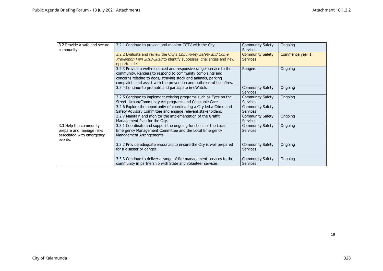| 3.2 Provide a safe and secure | 3.2.1 Continue to provide and monitor CCTV with the City.            | <b>Community Safety</b> | Ongoing         |
|-------------------------------|----------------------------------------------------------------------|-------------------------|-----------------|
| community.                    |                                                                      | <b>Services</b>         |                 |
|                               | 3.2.2 Evaluate and review the City's Community Safety and Crime      | <b>Community Safety</b> | Commence year 1 |
|                               | Prevention Plan 2013-2018 to identify successes, challenges and new  | <b>Services</b>         |                 |
|                               | opportunities.                                                       |                         |                 |
|                               | 3.2.3 Provide a well-resourced and responsive ranger service to the  | Rangers                 | Ongoing         |
|                               | community. Rangers to respond to community complaints and            |                         |                 |
|                               | concerns relating to dogs, straying stock and animals, parking       |                         |                 |
|                               | complaints and assist with the prevention and outbreak of bushfires. |                         |                 |
|                               | 3.2.4 Continue to promote and participate in eWatch.                 | <b>Community Safety</b> | Ongoing         |
|                               |                                                                      | <b>Services</b>         |                 |
|                               | 3.2.5 Continue to implement existing programs such as Eyes on the    | <b>Community Safety</b> | Ongoing         |
|                               | Street, Urban/Community Art programs and Constable Care.             | <b>Services</b>         |                 |
|                               | 3.2.6 Explore the opportunity of coordinating a City led a Crime and | <b>Community Safety</b> |                 |
|                               | Safety Advisory Committee and engage relevant stakeholders.          | <b>Services</b>         |                 |
|                               | 3.2.7 Maintain and monitor the implementation of the Graffiti        | <b>Community Safety</b> | Ongoing         |
|                               | Management Plan for the City.                                        | <b>Services</b>         |                 |
| 3.3 Help the community        | 3.3.1 Coordinate and support the ongoing functions of the Local      | <b>Community Safety</b> | Ongoing         |
| prepare and manage risks      | Emergency Management Committee and the Local Emergency               | <b>Services</b>         |                 |
| associated with emergency     | Management Arrangements.                                             |                         |                 |
| events.                       |                                                                      |                         |                 |
|                               | 3.3.2 Provide adequate resources to ensure the City is well prepared | <b>Community Safety</b> | Ongoing         |
|                               | for a disaster or danger.                                            | <b>Services</b>         |                 |
|                               |                                                                      |                         |                 |
|                               | 3.3.3 Continue to deliver a range of fire management services to the | <b>Community Safety</b> | Ongoing         |
|                               | community in partnership with State and volunteer services.          | Services                |                 |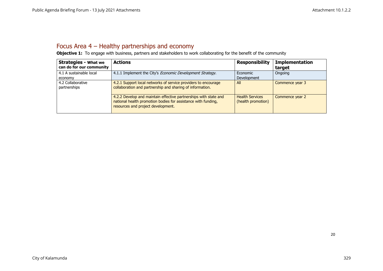# Focus Area 4 – Healthy partnerships and economy

**Objective 1:** To engage with business, partners and stakeholders to work collaborating for the benefit of the community

<span id="page-20-0"></span>

| <b>Strategies - What we</b> | <b>Actions</b>                                                    | <b>Responsibility</b>  | <b>Implementation</b> |
|-----------------------------|-------------------------------------------------------------------|------------------------|-----------------------|
| can do for our community    |                                                                   |                        | target                |
| 4.1 A sustainable local     | 4.1.1 Implement the City's <i>Economic Development Strategy</i> . | Economic               | Ongoing               |
| economy                     |                                                                   | Development            |                       |
| 4.2 Collaborative           | 4.2.1 Support local networks of service providers to encourage    | All                    | Commence year 3       |
| partnerships                | collaboration and partnership and sharing of information.         |                        |                       |
|                             |                                                                   |                        |                       |
|                             | 4.2.2 Develop and maintain effective partnerships with state and  | <b>Health Services</b> | Commence year 2       |
|                             | national health promotion bodies for assistance with funding,     | (health promotion)     |                       |
|                             | resources and project development.                                |                        |                       |
|                             |                                                                   |                        |                       |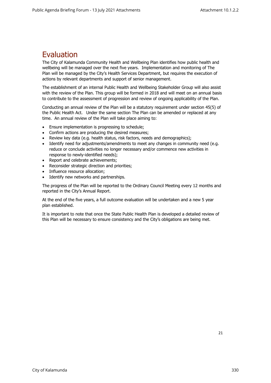# <span id="page-21-0"></span>Evaluation

The City of Kalamunda Community Health and Wellbeing Plan identifies how public health and wellbeing will be managed over the next five years. Implementation and monitoring of The Plan will be managed by the City's Health Services Department, but requires the execution of actions by relevant departments and support of senior management.

The establishment of an internal Public Health and Wellbeing Stakeholder Group will also assist with the review of the Plan. This group will be formed in 2018 and will meet on an annual basis to contribute to the assessment of progression and review of ongoing applicability of the Plan.

Conducting an annual review of the Plan will be a statutory requirement under section 45(5) of the Public Health Act. Under the same section The Plan can be amended or replaced at any time. An annual review of the Plan will take place aiming to:

- Ensure implementation is progressing to schedule;
- Confirm actions are producing the desired measures;
- Review key data (e.g. health status, risk factors, needs and demographics);
- Identify need for adjustments/amendments to meet any changes in community need (e.g. reduce or conclude activities no longer necessary and/or commence new activities in response to newly-identified needs);
- Report and celebrate achievements;
- Reconsider strategic direction and priorities;
- Influence resource allocation;
- Identify new networks and partnerships.

The progress of the Plan will be reported to the Ordinary Council Meeting every 12 months and reported in the City's Annual Report.

At the end of the five years, a full outcome evaluation will be undertaken and a new 5 year plan established.

It is important to note that once the State Public Health Plan is developed a detailed review of this Plan will be necessary to ensure consistency and the City's obligations are being met.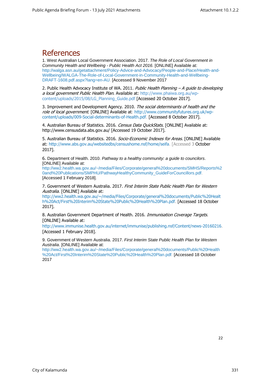# <span id="page-22-0"></span>References

1. West Australian Local Government Association. 2017. *The Role of Local Government in Community Health and Wellbeing - Public Health Act 2016*. [ONLINE] Available at: [http://walga.asn.au/getattachment/Policy-Advice-and-Advocacy/People-and-Place/Health-and-](http://walga.asn.au/getattachment/Policy-Advice-and-Advocacy/People-and-Place/Health-and-Wellbeing/WALGA-The-Role-of-Local-Government-in-Community-Health-and-Wellbeing-DRAFT-1608.pdf.aspx?lang=en-AU)[Wellbeing/WALGA-The-Role-of-Local-Government-in-Community-Health-and-Wellbeing-](http://walga.asn.au/getattachment/Policy-Advice-and-Advocacy/People-and-Place/Health-and-Wellbeing/WALGA-The-Role-of-Local-Government-in-Community-Health-and-Wellbeing-DRAFT-1608.pdf.aspx?lang=en-AU)[DRAFT-1608.pdf.aspx?lang=en-AU.](http://walga.asn.au/getattachment/Policy-Advice-and-Advocacy/People-and-Place/Health-and-Wellbeing/WALGA-The-Role-of-Local-Government-in-Community-Health-and-Wellbeing-DRAFT-1608.pdf.aspx?lang=en-AU) [Accessed 9 November 2017

2. Public Health Advocacy Institute of WA. 2011. Public Health Planning  $-A$  quide to developing a local government Public Health Plan. Available at: [http://www.phaiwa.org.au/wp](http://www.phaiwa.org.au/wp-content/uploads/2015/08/LG_Planning_Guide.pdf)[content/uploads/2015/08/LG\\_Planning\\_Guide.pdf](http://www.phaiwa.org.au/wp-content/uploads/2015/08/LG_Planning_Guide.pdf) [Accessed 20 October 2017].

3. Improvement and Development Agency. 2010. The social determinants of health and the role of local government. [ONLINE] Available at: [http://www.communityfutures.org.uk/wp](http://www.communityfutures.org.uk/wp-content/uploads/009-Social-determinants-of-Health.pdf)[content/uploads/009-Social-determinants-of-Health.pdf.](http://www.communityfutures.org.uk/wp-content/uploads/009-Social-determinants-of-Health.pdf) [Accessed 8 October 2017].

4. Australian Bureau of Statistics. 2016. Census Data QuickStats. [ONLINE] Available at: [http://www.censusdata.abs.gov.au/](http://www.censusdata.abs.gov.au/census_services/getproduct/census/2016/quickstat/50605?opendocument) [Accessed 19 October 2017].

5. Australian Bureau of Statistics. 2016. Socio-Economic Indexes for Areas. [ONLINE] Available at: [http://www.abs.gov.au/websitedbs/censushome.nsf/home/seifa.](http://www.abs.gov.au/websitedbs/censushome.nsf/home/seifa) [Accessed 3 October 2017].

6. Department of Health. 2010. *Pathway to a healthy community: a guide to councilors*. [ONLINE] Available at:

[http://ww2.health.wa.gov.au/~/media/Files/Corporate/general%20documents/SMHS/Reports%2](http://ww2.health.wa.gov.au/~/media/Files/Corporate/general%20documents/SMHS/Reports%20and%20Publications/SMPHU/PathwayHealthyCommunity_GuideForCouncillors.pdf) [0and%20Publications/SMPHU/PathwayHealthyCommunity\\_GuideForCouncillors.pdf.](http://ww2.health.wa.gov.au/~/media/Files/Corporate/general%20documents/SMHS/Reports%20and%20Publications/SMPHU/PathwayHealthyCommunity_GuideForCouncillors.pdf) [Accessed 1 February 2018].

7. Government of Western Australia. 2017. First Interim State Public Health Plan for Western Australia. [ONLINE] Available at:

[http://ww2.health.wa.gov.au/~/media/Files/Corporate/general%20documents/Public%20Healt](http://ww2.health.wa.gov.au/~/media/Files/Corporate/general%20documents/Public%20Health%20Act/First%20Interim%20State%20Public%20Health%20Plan.pdf) [h%20Act/First%20Interim%20State%20Public%20Health%20Plan.pdf.](http://ww2.health.wa.gov.au/~/media/Files/Corporate/general%20documents/Public%20Health%20Act/First%20Interim%20State%20Public%20Health%20Plan.pdf) [Accessed 18 October 2017].

8. Australian Government Department of Health. 2016. Immunisation Coverage Targets. [ONLINE] Available at:

[http://www.immunise.health.gov.au/internet/immunise/publishing.nsf/Content/news-20160216.](http://www.immunise.health.gov.au/internet/immunise/publishing.nsf/Content/news-20160216) [Accessed 1 February 2018].

9. Government of Western Australia. 2017. *First Interim State Public Health Plan for Western Australia*. [ONLINE] Available at:

[http://ww2.health.wa.gov.au/~/media/Files/Corporate/general%20documents/Public%20Health](http://ww2.health.wa.gov.au/~/media/Files/Corporate/general%20documents/Public%20Health%20Act/First%20Interim%20State%20Public%20Health%20Plan.pdf) [%20Act/First%20Interim%20State%20Public%20Health%20Plan.pdf.](http://ww2.health.wa.gov.au/~/media/Files/Corporate/general%20documents/Public%20Health%20Act/First%20Interim%20State%20Public%20Health%20Plan.pdf) [Accessed 18 October 2017